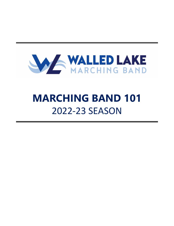

# **MARCHING BAND 101** 2022-23 SEASON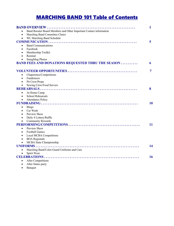# MARCHING BAND 101 Table of Contents

|                                                                                 | 1  |
|---------------------------------------------------------------------------------|----|
| Band Booster Board Members and Other Important Contact information<br>$\bullet$ |    |
| Marching Band Committee Chairs<br>$\bullet$                                     |    |
| WL Marching Band Schedule<br>$\bullet$                                          |    |
|                                                                                 | 5  |
| <b>Band Communications</b><br>$\bullet$                                         |    |
| Facebook<br>$\bullet$                                                           |    |
| Membership Toolkit<br>٠                                                         |    |
| Remind<br>$\bullet$                                                             |    |
| <b>SmugMug Photos</b><br>$\bullet$                                              |    |
| <b>BAND FEES AND DONATIONS REQUESTED THRU THE SEASON </b>                       | 6  |
|                                                                                 | 7  |
| Chaperones/Competitions<br>$\bullet$                                            |    |
| <b>Fundraisers</b><br>$\bullet$                                                 |    |
| Pit Crew/Props<br>$\bullet$                                                     |    |
| Sewing Crew/Food Servers<br>$\bullet$                                           |    |
|                                                                                 | 8  |
| At Home Camp<br>$\bullet$                                                       |    |
| School Rehearsals<br>$\bullet$                                                  |    |
| <b>Attendance Policy</b><br>$\bullet$                                           |    |
|                                                                                 | 10 |
| Bingo<br>$\bullet$                                                              |    |
| Car Wash<br>$\bullet$                                                           |    |
| Preview Show<br>$\bullet$                                                       |    |
| Daily 4 Lottery/Raffle<br>$\bullet$                                             |    |
| <b>Community Rewards</b><br>$\bullet$                                           |    |
|                                                                                 | 11 |
| Preview Show<br>$\bullet$                                                       |    |
| <b>Football Games</b><br>$\bullet$                                              |    |
| Local MCBA Competitions<br>$\bullet$                                            |    |
| <b>BOA</b> Regionals<br>$\bullet$                                               |    |
| MCBA State Championship<br>$\bullet$                                            |    |
|                                                                                 | 14 |
| Marching Band/Color Guard Uniforms and Care<br>$\bullet$                        |    |
| Spirit Wear<br>$\bullet$                                                        |    |
|                                                                                 | 16 |
| <b>After Competitions</b><br>$\bullet$                                          |    |
| After States party<br>$\bullet$                                                 |    |
|                                                                                 |    |

• Banquet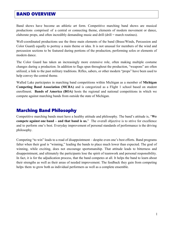# BAND OVERVIEW

Band shows have become an athletic art form. Competitive marching band shows are musical productions comprised of a central or connecting theme, elements of modern movement or dance, elaborate props, and often incredibly demanding music and drill (drill = march routines).

Well-coordinated productions use the three main elements of the band (Brass/Winds, Percussion and Color Guard) equally to portray a main theme or idea. It is not unusual for members of the wind and percussion sections to be featured during portions of the production, performing solos or elements of modern dance.

The Color Guard has taken an increasingly more extensive role, often making multiple costume changes during a production. In addition to flags spun throughout the production, "weapons" are often utilized, a link to the past military traditions. Rifles, sabers, or other modern "props" have been used to help convey the central theme.

Walled Lake participates in marching band competitions within Michigan as a member of **Michigan Competing Band Association (MCBA)** and is categorized as a Flight 1 school based on student enrollment. **Bands of America (BOA)** hosts the regional and national competitions in which we compete against marching bands from outside the state of Michigan.

#### Marching Band Philosophy

Competitive marching bands must have a healthy attitude and philosophy. The band's attitude is, "**We compete against one band – and that band is us.**" The overall objective is to strive for excellence and to perform one's best. Everyday improvement of personal standards of performance is the driving philosophy.

Competing "to win" leads to a road of disappointment – despite even one's best efforts. Band programs falter when their goal is "winning," leading the bands to place much lower than expected. The goal of winning, while exciting, does not encourage sportsmanship. That attitude leads to bitterness and disappointment, and ultimately the participants lose the spirit of teamwork and personal responsibility. In fact, it is for the adjudication process, that the band competes at all. It helps the band to learn about their strengths as well as their areas of needed improvement. The feedback they gain from competing helps them to grow both as individual performers as well as a complete ensemble.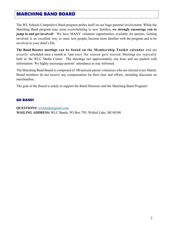## MARCHING BAND BOARD

The WL Schools Competitive Band program prides itself on our huge parental involvement. While the Marching Band program may seem overwhelming to new families, **we strongly encourage you to jump in and get involved**! We have MANY volunteer opportunities available for parents. Getting involved is an excellent way to meet new people, become more familiar with the program and to be involved in your child's life.

**The Band Booster meetings can be found on the Membership Toolkit calendar** and are usually scheduled once a month at 7pm once the season gets started. Meetings are typically held in the WLC Media Center. The meetings run approximately one hour and are packed with information. We highly encourage parents' attendance to stay informed.

The Marching Band Board is comprised of 100 percent parent volunteers who are elected every March. Board members do not receive any compensation for their time and efforts, including discounts on merchandise.

The goal of the Board is solely to support the Band Directors and the Marching Band Program!

#### GO BAND!

**QUESTIONS:** wlcbands@gmail.com **MAILING ADDRESS:** WLC Bands, PO Box 795, Walled Lake, MI 48390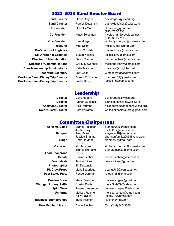### 2022-2023 Band Booster Board

| <b>Band Director</b>                     |  |
|------------------------------------------|--|
| <b>Co-President</b>                      |  |
| <b>Co-President</b>                      |  |
| <b>Vice President</b>                    |  |
| <b>Treasurer</b>                         |  |
| <b>Co-Director of Logistics</b>          |  |
| <b>Co-Director of Logistics</b>          |  |
| Director of Administration               |  |
| <b>Director of Communications</b>        |  |
| <b>Dues/Membership Administrator</b>     |  |
| <b>Recording Secretary</b>               |  |
| <b>Co-Home Camp/Disney Trip Director</b> |  |
| <b>Co-Home Camp/Disney Trip Director</b> |  |
|                                          |  |

Brandi Robinson Joelle Berry

**Band Director** David Rogers davidrogers@wlcsd.org Patrick Dudzinski patrickdudzinski@wlcsd.org Chris DeMont cldemont@gmail.com (940) 765-2738 Macy Selecman mselecman@sbcglobal.net (248) 933-7711 Kim Morgan kimberlykmorgan@hotmail.com Matt Dixon mdixon3857@gmail.com Kristi Cornish matandkristi@comcast.net Susan Kolinski kolinskism2@gmail.com Dawn Riecher riecherriecher@comcast.net Carey McConnell mcconnellcarey@gmail.com Katie Malisow **Malisow** malisow@sbcglobal.net **Recording Secretary** Jodi Gallo wlmbsecretary@gmail.com brandeez05@gmail.com joelle118@comcast.net

#### **Leadership**

**Director** Dave Rogers davidrogers@wlcsd.org Director Patrick Dudzinski patrickdudzinski@wlcsd.org Assistant Director Nick Pourcho nickpourcho@teachers.wlcsd.org **Color Guard Director** Seth Williams walledlakecolorguard@gmail.com

#### Committee Chairpersons

| <b>At Home Camp</b>            | <b>Brandi Robinson</b><br>Joelle Berry | brandeez05@gmail.com<br>joelle118@comcast.net |
|--------------------------------|----------------------------------------|-----------------------------------------------|
| <b>Banquet</b>                 | Amy Rates                              | amyrates18@yahoo.com                          |
|                                | Jessica Shannon                        | shannonfamily2005@yahoo.com                   |
| <b>Bingo</b>                   | <b>Chris DeMont</b>                    | cldemont@gmail.com                            |
|                                | <b>OPEN</b>                            |                                               |
| <b>Car Wash</b>                | Kim Morgan                             | kimberlykmorgan@hotmail.com                   |
|                                | <b>Brandi Brendtke</b>                 | brandigmsptsa@gmail.com                       |
| <b>Lead Chaperone</b>          | <b>OPEN</b>                            |                                               |
| <b>Decals</b>                  | Dawn Riecher                           | riecherriecher@comcast.net                    |
| <b>Food-Meals</b>              | <b>Janice Clines</b>                   | janice.clines@gmail.com                       |
| Photographer                   | <b>Bill Dudzinski</b>                  |                                               |
| <b>Pit Crew/Props</b>          | Mark Seabridge                         | peanut780@comcast.net                         |
| <b>Post States Party</b>       | Renee Dorfman                          | rdteach36@gmail.com                           |
| <b>Preview Show</b>            | Mara Reisinger                         | marareisinger@gmail.com                       |
| <b>Michigan Lottery Raffle</b> | <b>Crystal Davis</b>                   | davis3kids77@yahoo.com                        |
| <b>Spirit Wear</b>             | Regina Jamerson                        | jamersonregina@yahoo.com                      |
| <b>Uniforms</b>                | Melissa Rushton                        | melissarushton@gmail.com                      |
|                                | Kelly Pavlica                          | kelpav18@gmail.com                            |
| <b>Business Sponsorships</b>   | Ingrid Fischer                         | ifischer@mail.com                             |
| <b>New Member Liaison</b>      | Dawn Riecher                           | Text (248) 345-3366                           |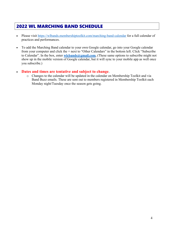# 2022 WL MARCHING BAND SCHEDULE

- Please visit https://wlbands.membershiptoolkit.com/marching-band-calendar for a full calendar of practices and performances.
- To add the Marching Band calendar to your own Google calendar, go into your Google calendar from your computer and click the + next to "Other Calendars" in the bottom left. Click "Subscribe to Calendar". In the box, enter **wlcbands@gmail.com.** (These same options to subscribe might not show up in the mobile version of Google calendar, but it will sync to your mobile app as well once you subscribe.)

#### • **Dates and times are tentative and subject to change**.

o Changes to the calendar will be updated in the calendar on Membership Toolkit and via Band Buzz emails. These are sent out to members registered in Membership Toolkit each Monday night/Tuesday once the season gets going.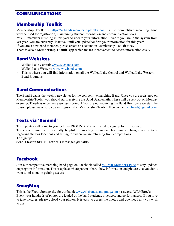# COMMUNICATIONS

## Membership Toolkit

Membership Toolkit – https://wlbands.membershiptoolkit.com is the competitive marching band website used for registration, maintaining student information and communication tools. \*\*ALL members must log in this year to update your information. Even if you are in the system from last year, you are currently 'inactive' until you update/confirm your information for this year! If you are a new band member, please create an account on Membership Toolkit today! There is also a **Membership Toolkit App** which makes it convenient to access information easily!

# Band Websites

- Walled Lake Central: www.wlcbands.com
- Walled Lake Western: www.wlwbands.com
- This is where you will find information on all the Walled Lake Central and Walled Lake Western Band Programs.

# Band Communications

The Band Buzz is the weekly newsletter for the competitive marching Band. Once you are registered on Membership Toolkit you should start receiving the Band Buzz emails. These will be sent out on Monday evenings/Tuesdays once the season gets going. If you are not receiving the Band Buzz once we start the season, please make sure you are registered in Membership Toolkit, then contact wlcbands@gmail.com.

# Texts via 'Remind'

Text updates will come to your cell via **REMIND**. You will need to sign up for this service.

Texts via Remind are especially helpful for meeting reminders, last minute changes and notices regarding the bus locations and timing for when we are returning from competitions. To sign up:

**Send a text to 81010. Text this message: @a63kk7**

# Facebook

Join our competitive marching band page on Facebook called **WLMB Members Page** to stay updated on program information. This is a place where parents share show information and pictures, so you don't want to miss out on gaining access.

# **SmugMug**

This is the Photo Storage site for our band: www.wlcbands.smugmug.com password: WLMBrocks Every year hundreds of photos are loaded of the band students, practices, and performances. If you love to take pictures, please upload your photos. It is easy to access the photos and download any you wish to use.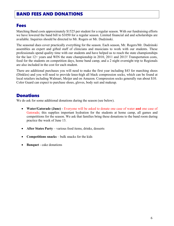# BAND FEES AND DONATIONS

#### Fees

Marching Band costs approximately \$1525 per student for a regular season. With our fundraising efforts we have lowered the band bill to \$1050 for a regular season. Limited financial aid and scholarships are available. Inquiries should be directed to Mr. Rogers or Mr. Dudzinski.

The seasonal dues cover practically everything for the season. Each season, Mr. Rogers/Mr. Dudzinski assembles an expert and gifted staff of clinicians and musicians to work with our students. These professionals spend quality time with our students and have helped us to reach the state championships for the last 12+ years and WIN the state championship in 2010, 2011 and 2013! Transportation costs, food for the students on competition days, home band camp, and a 2 night overnight trip to Regionals are also included in the cost for each student.

There are additional purchases you will need to make the first year including \$43 for marching shoes (Dinkles) and you will need to provide knee-high all black compression socks, which can be found at local retailers including Walmart, Meijer and on Amazon. Compression socks generally run about \$10. Color Guard can expect to purchase shoes, gloves, body suit and makeup.

### Donations

We do ask for some additional donations during the season (see below).

- **Water/Gatorade (June)** Everyone will be asked to donate one case of water **and** one case of Gatorade; this supplies important hydration for the students at home camp, all games and competitions for the season. We ask that families bring these donations to the band room during practice the week of June 13.
- **After States Party** various food items, drinks, desserts
- **Competitions snacks** bulk snacks for the kids
- **Banquet** cake donations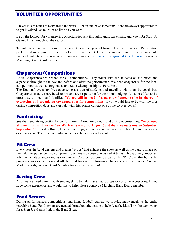# VOLUNTEER OPPORTUNITIES

It takes lots of hands to make this band work. Pitch in and have some fun! There are always opportunities to get involved...as much or as little as you want.

Be on the lookout for volunteering opportunities sent through Band Buzz emails, and watch for Sign-Up Genius links throughout the season.

To volunteer, you must complete a current year background form. These were in your Registration packet, and most parents turned in a form for one parent. If there is another parent in your household that will volunteer this season and you need another Volunteer Background Check Form, contact a Marching Band Board member.

#### Chaperones/Competitions

Adult Chaperones are needed for all competitions. They travel with the students on the buses and supervise throughout the day and before and after the performance. We need chaperones for the local competitions as well as Regionals, and State Championships at Ford Field.

The Regional event involves overseeing a group of students and traveling with them by coach bus. Chaperones usually share hotel rooms and are responsible for their hotel lodging. It's a lot of fun and a great way to meet band families! **We are still in need of a parent volunteer to be in charge of overseeing and organizing the chaperones for competitions.** If you would like to be with the kids during competition days and can help with this, please contact one of the co-presidents!

#### Fundraising

See the Fundraising section below for more information on our fundraising opportunities. We do need all parents on hand for the **Car Wash on Saturday, August 6** and the **Preview Show on Saturday, September 10.** Besides Bingo, these are our biggest fundraisers. We need help both behind the scenes or at the event. The time commitment is a few hours for each event.

### Pit Crew

Every year the band designs and creates "props" that enhance the show as well as the band's image on the field. Props can be made by parents but have also been outsourced at times. This is a very important job in which dads and/or moms can partake. Consider becoming a part of the "Pit Crew" that builds the props and moves them on and off the field for each performance. No experience necessary! Contact Mark Seabridge or any Board Member for more information!

#### Sewing Crew

At times we need parents with sewing skills to help make flags, props or costume accessories. If you have some experience and would like to help, please contact a Marching Band Board member.

### Food Servers

During performances, competitions, and home football games, we provide many meals to the entire marching band. Food servers are needed throughout the season to help feed the kids. To volunteer, watch for a Sign-Up Genius link in the Band Buzz.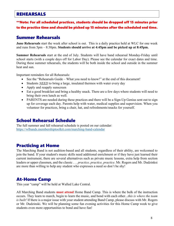### REHEARSALS

#### \*\*Note: For all scheduled practices, students should be dropped off 15 minutes prior to the practice time and should be picked up 15 minutes after the scheduled end time.

## Summer Rehearsals

**June Rehearsals** start the week after school is out. This is a daily practice held at WLC for one week and runs from 5pm – 8:30pm. **Students should arrive at 4:45pm and be picked up at 8:45pm.**

**Summer Rehearsals** start at the end of July. Students will have band rehearsal Monday-Friday until school starts (with a couple days off for Labor Day). Please see the calendar for exact dates and time. During these summer rehearsals, the students will be both inside the school and outside in the summer heat and sun.

Important reminders for all Rehearsals:

- See the "Rehearsals Guide What you need to know!" at the end of this document!
- Students *NEED* to bring a large, insulated thermos with water every day
- Apply and reapply sunscreen
- Eat a good breakfast and bring a healthy snack. There are a few days where students will need to bring their own lunch as well.
- PARENTS are needed during these practices and there will be a Sign-Up Genius sent out to sign up for coverage each day. Parents help with water, medical supplies and supervision. When you volunteer for practices, bring a chair, hat, and refreshments/snacks for yourself.

# School Rehearsal Schedule

The full summer and fall rehearsal schedule is posted on our calendar: https://wlbands.membershiptoolkit.com/marching-band-calendar

# Practicing at Home

The Marching Band is not audition-based and all students, regardless of their ability, are welcomed to join the band. If your student's music skills need additional enrichment or if they have just learned their current instrument, there are several alternatives such as private music lessons, extra help from section leaders or upper classmen, and the classic . . . *practice, practice, practice*. Mr. Rogers and Mr. Dudzinksi are more than willing to help any student who expresses a need so don't be shy!

# At-Home Camp

This year "camp" will be held at Walled Lake Central.

All Marching Band students **must attend** Home Band Camp. This is where the bulk of the instruction occurs. They learn to march, begin to learn the music, and bond with each other...*this is where the team is built!* If there is a major issue with your student attending Band Camp, please discuss with Mr. Rogers or Mr. Dudzinski. We will be planning some fun evening activities for this Home Camp week to give students even more opportunities to bond and have fun!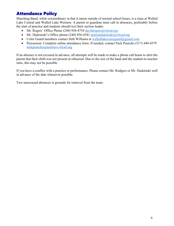# Attendance Policy

Marching Band, while extraordinary in that it meets outside of normal school hours, is a class at Walled Lake Central and Walled Lake Western. A parent or guardian must call in absences, preferably before the start of practice and students should text their section leader.

- Mr. Rogers' Office Phone (248) 956-4754 davidrogers@wlcsd.org
- Mr. Dudzinski's Office phone (248) 956-4541 patrickdudzinski@wlcsd.org
- Color Guard members contact Seth Williams at walledlakecolorguard@gmail.com
- Percussion: Complete online attendance form. If needed, contact Nick Pourcho (517) 449-4579 nickpourcho@teachers.wlcsd.org

If an absence is not excused in advance, all attempts will be made to make a phone call home to alert the parent that their child was not present at rehearsal. Due to the size of the band and the student-to-teacher ratio, this may not be possible

If you have a conflict with a practice or performance. Please contact Mr. Rodgers or Mr. Dudzinski well in advance of the date whenever possible.

Two unexcused absences is grounds for removal from the team.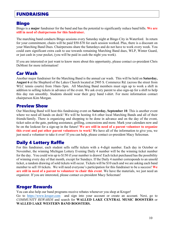# FUNDRAISING

#### Bingo

Bingo is a **major** fundraiser for the band and has the potential to significantly reduce band bills. **We are still in need of chairpersons for this fundraiser.** 

The marching band conducts Bingo sessions every Saturday night at Bingo City in Waterford. In return for your commitment, chairs will be paid \$50-\$70 for each session worked. Plus, there is a discount on your Marching Band Dues. Chairpersons share the Saturdays and do not have to work every week. You could earn significant extra cash to use towards remaining Marching Band dues, WLP, Winter Guard, or just cash in your pocket, (you will be paid in cash the night you work).

If you are interested or just want to know more about this opportunity, please contact co-president Chris DeMont for more information!

# Car Wash

Another major fundraiser for the Marching Band is the annual car wash. This will be held on **Saturday, August 6** at the Shepherd of the Lakes Church located at 2905 S. Commerce Rd. (across the street from WLC tennis courts) from 10am–5pm. All Marching Band members must sign up to work a shift in addition to selling tickets in advance of the event. We ask every parent to also sign-up for a shift to help this day run smoothly. Students should wear their grey band t-shirt. For more information contact chairperson Kim Morgan.

#### Preview Show

Our Marching Band will host this fundraising event on **Saturday, September 10**. This is another event where we need all hands on deck! We will be hosting 4-6 other local Marching Bands and all of their friends/family. There is organizing and shopping to be done in advance and on the day of the event, ticket sales at the gate, parking assistance, grilling, concessions and more. Mark your calendars now and be on the lookout for a sign-up in the future! **We are still in need of a parent volunteer to organize this event and put other parent volunteers to work!** We have all of the information to give you, we just need a volunteer to take it over! If you can help, please contact co-president Macy Selecman.

### Daily 4 Lottery Raffle

For this fundraiser, each student sells raffle tickets with a 4-digit number. Each day in October or November, the winning Michigan Lottery Evening Daily 4 number will be the winning ticket number for the day. You could win up to \$150 if your number is drawn! Each ticket purchased has the possibility of winning every day of that month, except for Sundays. If the Daily 4 number corresponds to an unsold ticket, a random drawing of sold tickets will occur. Tickets will be \$10 each and we are asking each band member to sell 10 tickets. We will need everyone's participation for this fundraiser to be a success! **We are still in need of a parent to volunteer to chair this event**. We have the materials, we just need an organizer. If you are interested, please contact co-president Macy Selecman!

### Kroger Rewards

You can also help our band programs receive rebates whenever you shop at Kroger! Go to https://www.kroger.com and sign into your account or create an account. Next, go to *COMMUNITY REWARDS* and search for **WALLED LAKE CENTRAL MUSIC BOOSTERS** or **WALLED LAKE WESTERN BAND BOOSTERS.**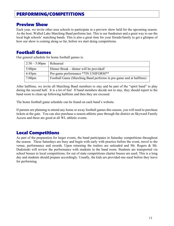# PERFORMING/COMPETITIONS

## Preview Show

Each year, we invite other area schools to participate in a preview show held for the upcoming season. As the host, Walled Lake Marching Band performs last. This is our fundraiser and a great way to see the local high schools' marching bands. This is also a great time for your friends/family to get a glimpse of how our show is coming along so far, before we start doing competitions.

# Football Games

Our general schedule for home football games is:

| $2:50-5:00$ pm   Rehearsal |                                                                    |
|----------------------------|--------------------------------------------------------------------|
| $5:00 \text{pm}$           | Dinner Break – dinner will be provided!                            |
| $6:45 \text{pm}$           | Pre-game performance **IN UNIFORM**                                |
| $7:00 \text{pm}$           | Football Game (Marching Band performs in pre-game and at halftime) |

After halftime, we invite all Marching Band members to stay and be part of the "spirit band" to play during the second half. It is a lot of fun! If band members decide not to stay, they should report to the band room to clean up following halftime and then they are excused.

The home football game schedule can be found on each band's website.

If parents are planning to attend any home or away football games this season, you will need to purchase tickets at the gate. You can also purchase a season athletic pass through the district on Skyward Family Access and these are good at all WL athletic events.

# Local Competitions

As part of the preparation for larger events, the band participates in Saturday competitions throughout the season. These Saturdays are busy and begin with early with practice before the event, travel to the venue, performance and awards. Upon returning the trailers are unloaded and Mr. Rogers & Mr. Dudzinski will review the performance with students in the band room. Students are transported via school busses to local competitions; for out of state competitions charter busses are used. This is a long day and students should prepare accordingly. Usually, the kids are provided one meal before they leave for performing.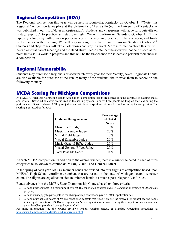# Regional Competition (BOA)

The Regional competition this year will be held in Louisville, Kentucky on October 1. \*\*Note, this Regional Competition takes place at the **University of Louisville** (not the University of Kentucky as was published in our list of dates at Registration). Students and chaperones will leave for Louisville on Friday, Sept. 30<sup>th</sup> to practice and stay overnight. We will perform on Saturday, October 1. This is typically a long day with division performances in the morning, practice in the afternoon, and finals performances in the evening. We will stay overnight on the 1<sup>st</sup> and return on Sunday, October 2<sup>nd</sup>. Students and chaperones will take charter buses and stay in a hotel. More information about this trip will be explained at parent meetings and the Band Buzz. Please note that the show will not be finished at this point but is still a work in progress and this will be the first chance for students to perform their show in a competition.

### Regional Memorabilia

Students may purchase a Regionals or show patch every year for their Varsity jacket. Regionals t-shirts are also available for purchase at the venue; many of the students like to wear them to school on the following Monday.

#### MCBA Scoring for Michigan Competitions

At a MCBA (Michigan Competing Bands Association) competition, bands are scored utilizing constructed judging sheets and criteria. Seven adjudicators are utilized in the scoring system. You will see people walking on the field during the performance. Don't be alarmed! They are judges and will be seen speaking into small recorders during the competition. The scoring is assessed as follows:

| <b>Criteria Being Assessed</b> | Percentage<br>of Total<br><b>Score</b> |
|--------------------------------|----------------------------------------|
| Music Field Judge              | 10%                                    |
| Music Ensemble Judge           | 20%                                    |
| Visual Field Judge             | 10%                                    |
| Visual Ensemble Judge          | 20%                                    |
| Music General Effect Judge     | 20%                                    |
| Visual General Effect Judge    | 20%                                    |
| <b>Total Possible Score</b>    | 100%                                   |

At each MCBA competition, in addition to the overall winner, there is a winner selected in each of three categories (also known as captions): **Music, Visual**, and **General Effect**.

In the spring of each year, MCBA member bands are divided into four flights of competition based upon MHSAA High School enrollment numbers that are based on the state of Michigan second semester count. The flights are equalized in size (number of bands) as much a possible per MCBA rules.

Bands advance into the MCBA State Championship Contest based on three criteria:

- 1. A band must compete in a minimum of two MCBA sanctioned contests. (MCBA sanctions an average of 20 contests per year).
- 2. A band must apply to participate in the championship contest and pay a \$150.00 application fee.
- 3. A band must achieve scores at MCBA sanctioned contests that place it among the twelve (12) highest scoring bands in its flight competition. MCBA averages a band's two highest scores posted during the competition season to come up with a Championship Average Score or CAS.

For more information, see the MCBA By-laws, Rules, Judging Sheets, & Standard Operating Procedures at http://www.themcba.org/theMCBA.org/Organization.html.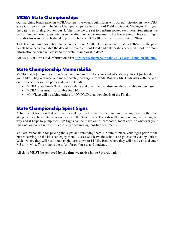# MCBA State Championships

Our marching band season in MCBA competitive events culminates with our participation in the MCBA State Championships. The State Championships are held at Ford Field in Detroit, Michigan. This year the date is **Saturday, November 5.** The time we are set to perform rotates each year. Sometimes we perform in the morning, sometimes in the afternoon and sometimes in the late evening. This year, Flight I bands (this is us) are scheduled to perform between 8:00-10:00am with awards at 10:20am.

Tickets are required for entry into the competition. Adult tickets are approximately \$20-\$25. In the past, tickets have been available the day of the event at Ford Field and only cash is accepted. Look for more information to come out closer to the State Championship date!

For MCBA at Ford Field information, visit http://www.themcba.org/theMCBA.org/Championship.html.

# State Championship Memorabilia

MCBA Patch (approx. \$5.00) – You can purchase this for your student's Varsity Jacket (or hoodie) if you'd like. They will receive a rocker patch (no-charge) from Mr. Rogers / Mr. Dudzinski with the year on it for each season we participate in the Finals.

- MCBA State Finals T-shirts/sweatshirts and other merchandise are also available to purchase.
- MCBA Pins usually available for \$10.
- Mr. Video will be taking orders for DVD's/Digital downloads of the Finals.

### State Championship Spirit Signs

A fun parent tradition that we share is making spirit signs for the band and placing them on the road along the local bus route the team travels to the State Finals. The kids really enjoy seeing them along the way and it helps to pump them up! Signs can be made out of cardboard, foam core, or whatever your imagination comes up with! Please only encouraging, positive sentiments!

You are responsible for placing the signs and removing them. Be sure to place your signs prior to the busses leaving, so the kids can enjoy them. Busses will leave the school and go east on Oakley Park to Welch where they will head south (right turn) down to 14 Mile Road where they will head east and enter M5 at 14 Mile. This route is the safest for our busses and students.

#### **All signs MUST be removed by the time we arrive home Saturday night.**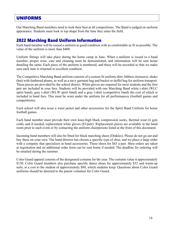# UNIFORMS

Our Marching Band members need to look their best at all competitions. The Band is judged on uniform appearance. Students must look in top shape from the time they enter the field.

# 2022 Marching Band Uniform Information

Each band member will be issued a uniform in good condition with as comfortable as fit as possible. The value of the uniform is more than \$400.

Uniform fittings will take place during the home camp in June. When a uniform is issued to a band member, proper wear, care and cleaning must be demonstrated, and information will be sent home detailing the same. Each piece of the uniform is numbered, and these will be recorded so that we make sure each item is returned in excellent condition.

The Competitive Marching Band uniform consists of a custom fit uniform shirt, bibbers (trousers), shako (hat) with feathered plume, as well as a navy garment bag and bucket or duffel bag for uniform transport. These pieces are provided by the school district. White gloves are required for most students and the first pair are included in your fees. Students will be provided with one Marching Band white t-shirt (WLC spirit band), gray t-shirt (WLW spirit band) and a gray t-shirt (competitive band) the cost of which is included in band fees. This must be worn under the uniform for all performances (football games and competitions).

Each school will also issue a waist jacket and other accessories for the Spirit Band Uniform for home football games.

Each band member must provide their own knee-high black compression socks, thermal wear (it gets cold), and if needed, replacement white gloves (\$3/pair). Replacement pieces are available in the band room prior to each event or by contacting the uniform chairpersons listed at the front of this document.

Incoming band members will also be fitted for black marching shoes (Dinkles). Please do not go out and buy these on your own. The band director has chosen a specific type of shoe, and we place a large order with a company that specializes in band accessories. These shoes for \$43 a pair. Shoe orders are taken at registration and an additional order form can be sent home if needed. The deadline for ordering will be emailed during the summer.

Color Guard apparel consists of the designated costume for the year. The costume value is approximately \$150. Color Guard members also purchase specific dance shoes for approximately \$52 and warm-up suits, at a cost to the student of approximately \$80, which students keep. Questions about Color Guard uniforms should be directed to the parent volunteer for Color Guard.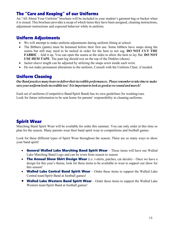# The "Care and Keeping" of our Uniforms

An "All About Your Uniform" brochure will be included in your student's garment bag or bucket when it is issued. This brochure provides a recap of which items they have been assigned, cleaning instructions, adjustment instructions and expected behavior while in uniform.

# Uniform Adjustments

- We will attempt to make uniform adjustments during uniform fitting at school.
- The Bibbers (pants) must be hemmed before their first use. Some bibbers have snaps along the seams but still may need to be tacked in order for the hem to not sag. **DO NOT CUT THE FABRIC** – fold it up. You can open the seams at the sides to allow the hem to lay flat. **DO NOT USE HEM TAPE**. The pant leg should rest on the top of the Dinkles (shoes).
- Jacket sleeve length can be adjusted by utilizing the snaps sewn inside each wrist.
- Do not make permanent alterations to the uniform. Consult with the Uniform Chair, if needed.

### Uniform Cleaning

*Our Band practices many hoursto delivertheirincredible performances. Please rememberto take time to make sure your uniform looksincredible too! It isimportant to look as good aswe sound and march!*

Each set of uniforms (Competitive Band/Spirit Band) has its own guidelines for washing/care. Look for future information to be sent home for parents' responsibility in cleaning uniforms.

# Spirit Wear

Marching Band Spirit Wear will be available for order this summer. You can only order at this time so plan for the season. Many parents wear their band spirit wear to competitions and football games.

Look for these different types of Spirit Wear throughout the season. There are so many ways to show your band spirit!

- General Walled Lake Marching Band Spirit Wear These items will have our Walled Lake Marching Band Logo and can be worn from season to season
- The Annual Show Shirt Design Wear (i.e. t-shirts, patches, car decals) Once we have a design for this year's theme, look for these items to be available to wear to support our show for this season!
- Walled Lake Central Band Spirit Wear Order these items to support the Walled Lake Central team/Spirit Band at football games!
- Walled Lake Western Band Spirit Wear Order these items to support the Walled Lake Western team/Spirit Band at football games!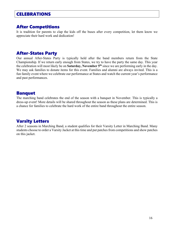# **CELEBRATIONS**

# After Competitions

It is tradition for parents to clap the kids off the buses after every competition, let them know we appreciate their hard work and dedication!

## After-States Party

Our annual After-States Party is typically held after the band members return from the State Championship. If we return early enough from States, we try to have the party the same day. This year the celebration will most likely be on **Saturday, November 5th** since we are performing early in the day. We may ask families to donate items for this event. Families and alumni are always invited. This is a fun family event where we celebrate our performance at States and watch the current year's performance and past performances.

# Banquet

The marching band celebrates the end of the season with a banquet in November. This is typically a dress-up event! More details will be shared throughout the season as these plans are determined. This is a chance for families to celebrate the hard work of the entire band throughout the entire season.

# Varsity Letters

After 2 seasons in Marching Band, a student qualifies for their Varsity Letter in Marching Band. Many students choose to order a Varsity Jacket at this time and put patches from competitions and show patches on this jacket.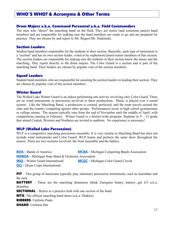#### WHO'S WHO? & Acronyms & Other Terms

#### Drum Majors a.k.a. Command Personnel a.k.a. Field Commanders

The ones who "direct" the marching band on the field. They are senior (and sometime junior) band members and are responsible for making sure the band members are ready to go and are prepared for practice. They are chosen by and report to Mr. Rogers/Mr. Dudzinski.

#### Section Leaders

Student band members responsible for the students in their section. Basically, each type of instrument is a "section" and has its own section leader, voted in by sophomore/junior/senior members of that section. The section leaders are responsible for making sure the students in their section know the music and the marching. They report directly to the drum majors. The Color Guard is a section and is part of the marching band. Their leaders are chosen by popular vote of the section members.

#### Squad Leaders

Student band members who are responsible for assisting the section leaders in leading their section. They are chosen by popular vote of the section members.

#### Winter Guard

The Walled Lake Winter Guard is an indoor performing arts activity involving only Color Guard. There are no wind instruments or percussion involved in these productions. Music is played over a sound system. Like the Marching Band, a production is created, perfected, and the team travels around the state and the country competing against other groups. Performances occur in high school gymnasiums or college arenas. The season typically runs from the end of November until the middle of April, with competitions starting in February. Winter Guard is a district-wide program. Students in  $9 - 12$  grade that attend Central, Western and Northern are invited to audition. No experience is necessary!

#### WLP (Walled Lake Percussion)

WLP is a competitive marching percussion ensemble. It is very similar to Marching Band but does not include wind instruments and Color Guard. WLP learns and perfects the same show throughout the season. There are two sections involved: the front ensemble and the battery.

**BOA -** Bands of America **MCBA -** Michigan Competing Bands Association **MSBOA -** Michigan State Band & Orchestra Association **WGI -** Winter Guard International **MCGC -** Michigan Color Guard Circuit **DCI -** Drum Corps International

**PIT** – This group of musicians typically play stationary percussion instruments, such as marimbas and the rack.

**BATTERY** – These are the marching drummers (think Energizer bunny...battery...get it?) a.k.a. drumline.

**SECTIONAL** – Refers to a practice held with one section of the band

**MTX**: The official marching band shoes (a.k.a. Dinkles)

BIBBERS: Uniform Pants

SHAKO: Uniform Hat